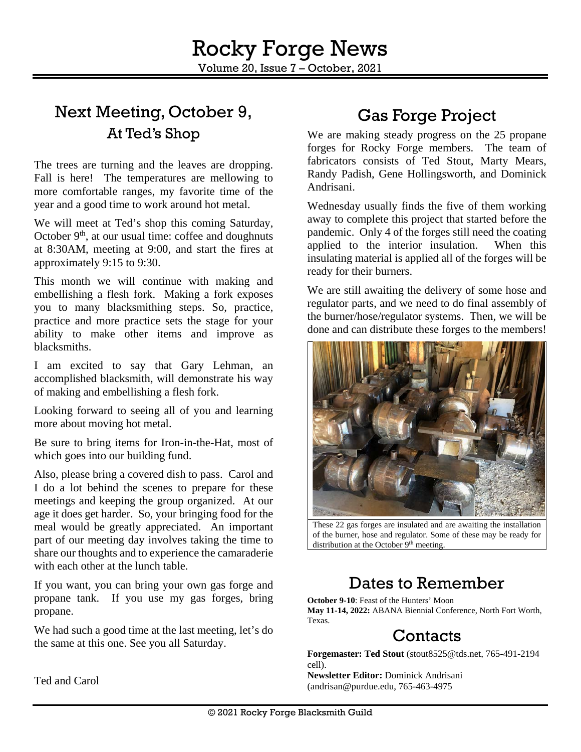# Next Meeting, October 9, At Ted's Shop

The trees are turning and the leaves are dropping. Fall is here! The temperatures are mellowing to more comfortable ranges, my favorite time of the year and a good time to work around hot metal.

We will meet at Ted's shop this coming Saturday, October  $9<sup>th</sup>$ , at our usual time: coffee and doughnuts at 8:30AM, meeting at 9:00, and start the fires at approximately 9:15 to 9:30.

This month we will continue with making and embellishing a flesh fork. Making a fork exposes you to many blacksmithing steps. So, practice, practice and more practice sets the stage for your ability to make other items and improve as blacksmiths.

I am excited to say that Gary Lehman, an accomplished blacksmith, will demonstrate his way of making and embellishing a flesh fork.

Looking forward to seeing all of you and learning more about moving hot metal.

Be sure to bring items for Iron-in-the-Hat, most of which goes into our building fund.

Also, please bring a covered dish to pass. Carol and I do a lot behind the scenes to prepare for these meetings and keeping the group organized. At our age it does get harder. So, your bringing food for the meal would be greatly appreciated. An important part of our meeting day involves taking the time to share our thoughts and to experience the camaraderie with each other at the lunch table.

If you want, you can bring your own gas forge and propane tank. If you use my gas forges, bring propane.

We had such a good time at the last meeting, let's do the same at this one. See you all Saturday.

# Gas Forge Project

We are making steady progress on the 25 propane forges for Rocky Forge members. The team of fabricators consists of Ted Stout, Marty Mears, Randy Padish, Gene Hollingsworth, and Dominick Andrisani.

Wednesday usually finds the five of them working away to complete this project that started before the pandemic. Only 4 of the forges still need the coating applied to the interior insulation. When this insulating material is applied all of the forges will be ready for their burners.

We are still awaiting the delivery of some hose and regulator parts, and we need to do final assembly of the burner/hose/regulator systems. Then, we will be done and can distribute these forges to the members!



These 22 gas forges are insulated and are awaiting the installation of the burner, hose and regulator. Some of these may be ready for distribution at the October 9<sup>th</sup> meeting.

# Dates to Remember

**October 9-10**: Feast of the Hunters' Moon **May 11-14, 2022:** ABANA Biennial Conference, North Fort Worth, Texas.

#### Contacts

**Forgemaster: Ted Stout** [\(stout8525@tds.net,](mailto:stout8525@tds.net) 765-491-2194 cell).

**Newsletter Editor:** Dominick Andrisani [\(andrisan@purdue.edu,](mailto:andrisan@purdue.edu) 765-463-4975

Ted and Carol